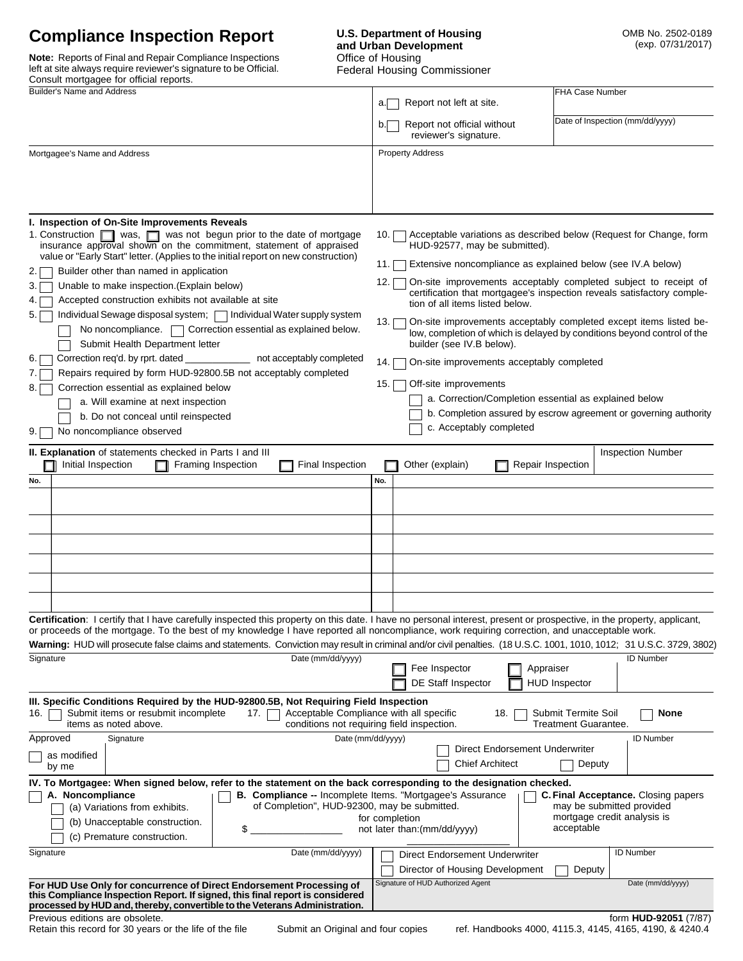# **Compliance Inspection Report**

mnliance Insnections nd Ponoir Co **Not** left Con Build

## **U.S. Department of Housing** and Urban Development

| <b>Note:</b> Reports of Final and Repair Compliance Inspections<br>left at site always require reviewer's signature to be Official.                                                                                                        |                                                                                                                  | Office of Housing<br><b>Federal Housing Commissioner</b>                                                   |                                                             |                                                                                                                                              |
|--------------------------------------------------------------------------------------------------------------------------------------------------------------------------------------------------------------------------------------------|------------------------------------------------------------------------------------------------------------------|------------------------------------------------------------------------------------------------------------|-------------------------------------------------------------|----------------------------------------------------------------------------------------------------------------------------------------------|
| Consult mortgagee for official reports.                                                                                                                                                                                                    |                                                                                                                  |                                                                                                            |                                                             |                                                                                                                                              |
| <b>Builder's Name and Address</b>                                                                                                                                                                                                          |                                                                                                                  | Report not left at site.<br>a.                                                                             | FHA Case Number                                             |                                                                                                                                              |
|                                                                                                                                                                                                                                            |                                                                                                                  | Report not official without<br>b.<br>reviewer's signature.                                                 |                                                             | Date of Inspection (mm/dd/yyyy)                                                                                                              |
| Mortgagee's Name and Address                                                                                                                                                                                                               |                                                                                                                  | <b>Property Address</b>                                                                                    |                                                             |                                                                                                                                              |
|                                                                                                                                                                                                                                            |                                                                                                                  |                                                                                                            |                                                             |                                                                                                                                              |
| I. Inspection of On-Site Improvements Reveals                                                                                                                                                                                              |                                                                                                                  |                                                                                                            |                                                             |                                                                                                                                              |
| 1. Construction $\Box$ was, $\Box$ was not begun prior to the date of mortgage<br>insurance approval shown on the commitment, statement of appraised<br>value or "Early Start" letter. (Applies to the initial report on new construction) |                                                                                                                  | Acceptable variations as described below (Request for Change, form<br>10.<br>HUD-92577, may be submitted). |                                                             |                                                                                                                                              |
| Builder other than named in application<br>2.                                                                                                                                                                                              |                                                                                                                  | 11.                                                                                                        | Extensive noncompliance as explained below (see IV.A below) |                                                                                                                                              |
| Unable to make inspection. (Explain below)<br>3.                                                                                                                                                                                           |                                                                                                                  | On-site improvements acceptably completed subject to receipt of<br>12.                                     |                                                             |                                                                                                                                              |
| Accepted construction exhibits not available at site<br>4.                                                                                                                                                                                 |                                                                                                                  | certification that mortgagee's inspection reveals satisfactory comple-<br>tion of all items listed below.  |                                                             |                                                                                                                                              |
| Individual Sewage disposal system;     Individual Water supply system<br>5.                                                                                                                                                                |                                                                                                                  |                                                                                                            |                                                             |                                                                                                                                              |
| No noncompliance.   Correction essential as explained below.<br>Submit Health Department letter                                                                                                                                            |                                                                                                                  | 13.<br>builder (see IV.B below).                                                                           |                                                             | On-site improvements acceptably completed except items listed be-<br>low, completion of which is delayed by conditions beyond control of the |
| not acceptably completed<br>Correction req'd. by rprt. dated __<br>6.                                                                                                                                                                      | 14.<br>On-site improvements acceptably completed                                                                 |                                                                                                            |                                                             |                                                                                                                                              |
| Repairs required by form HUD-92800.5B not acceptably completed<br>7.                                                                                                                                                                       | Off-site improvements<br>15.                                                                                     |                                                                                                            |                                                             |                                                                                                                                              |
| Correction essential as explained below<br>8.                                                                                                                                                                                              |                                                                                                                  | a. Correction/Completion essential as explained below                                                      |                                                             |                                                                                                                                              |
| a. Will examine at next inspection<br>b. Do not conceal until reinspected                                                                                                                                                                  |                                                                                                                  | b. Completion assured by escrow agreement or governing authority                                           |                                                             |                                                                                                                                              |
| No noncompliance observed<br>9.                                                                                                                                                                                                            |                                                                                                                  | c. Acceptably completed                                                                                    |                                                             |                                                                                                                                              |
| II. Explanation of statements checked in Parts I and III<br>Initial Inspection<br><b>Framing Inspection</b><br>No.                                                                                                                         | Final Inspection                                                                                                 | Other (explain)<br>No.                                                                                     | Repair Inspection                                           | <b>Inspection Number</b>                                                                                                                     |
|                                                                                                                                                                                                                                            |                                                                                                                  |                                                                                                            |                                                             |                                                                                                                                              |
|                                                                                                                                                                                                                                            |                                                                                                                  |                                                                                                            |                                                             |                                                                                                                                              |
|                                                                                                                                                                                                                                            |                                                                                                                  |                                                                                                            |                                                             |                                                                                                                                              |
|                                                                                                                                                                                                                                            |                                                                                                                  |                                                                                                            |                                                             |                                                                                                                                              |
|                                                                                                                                                                                                                                            |                                                                                                                  |                                                                                                            |                                                             |                                                                                                                                              |
|                                                                                                                                                                                                                                            |                                                                                                                  |                                                                                                            |                                                             |                                                                                                                                              |
| Certification: I certify that I have carefully inspected this property on this date. I have no personal interest, present or prospective, in the property, applicant,                                                                      |                                                                                                                  |                                                                                                            |                                                             |                                                                                                                                              |
| or proceeds of the mortgage. To the best of my knowledge I have reported all noncompliance, work requiring correction, and unacceptable work.                                                                                              |                                                                                                                  |                                                                                                            |                                                             |                                                                                                                                              |
| Warning: HUD will prosecute false claims and statements. Conviction may result in criminal and/or civil penalties. (18 U.S.C. 1001, 1010, 1012; 31 U.S.C. 3729, 3802)                                                                      |                                                                                                                  |                                                                                                            |                                                             |                                                                                                                                              |
| Signature                                                                                                                                                                                                                                  | Date (mm/dd/yyyy)                                                                                                | Fee Inspector                                                                                              | Appraiser                                                   | <b>ID Number</b>                                                                                                                             |
|                                                                                                                                                                                                                                            |                                                                                                                  | DE Staff Inspector                                                                                         | <b>HUD Inspector</b>                                        |                                                                                                                                              |
| III. Specific Conditions Required by the HUD-92800.5B, Not Requiring Field Inspection<br>Submit items or resubmit incomplete<br>16.                                                                                                        | Acceptable Compliance with all specific<br>17.                                                                   |                                                                                                            | Submit Termite Soil<br>18.                                  | <b>None</b>                                                                                                                                  |
| items as noted above.                                                                                                                                                                                                                      | conditions not requiring field inspection.                                                                       |                                                                                                            | <b>Treatment Guarantee.</b>                                 |                                                                                                                                              |
| Approved<br>Signature                                                                                                                                                                                                                      | Date (mm/dd/yyyy)                                                                                                |                                                                                                            |                                                             | <b>ID Number</b>                                                                                                                             |
| as modified<br>by me                                                                                                                                                                                                                       |                                                                                                                  | <b>Chief Architect</b>                                                                                     | Direct Endorsement Underwriter<br>Deputy                    |                                                                                                                                              |
| IV. To Mortgagee: When signed below, refer to the statement on the back corresponding to the designation checked.                                                                                                                          |                                                                                                                  |                                                                                                            |                                                             |                                                                                                                                              |
| A. Noncompliance                                                                                                                                                                                                                           | <b>B. Compliance -- Incomplete Items. "Mortgagee's Assurance</b><br>of Completion", HUD-92300, may be submitted. |                                                                                                            |                                                             | <b>C. Final Acceptance.</b> Closing papers<br>may be submitted provided                                                                      |
| (a) Variations from exhibits.                                                                                                                                                                                                              |                                                                                                                  | for completion                                                                                             |                                                             | mortgage credit analysis is                                                                                                                  |
| (b) Unacceptable construction.<br>(c) Premature construction.                                                                                                                                                                              | \$                                                                                                               | not later than: (mm/dd/yyyy)                                                                               | acceptable                                                  |                                                                                                                                              |
| Signature                                                                                                                                                                                                                                  | Date (mm/dd/yyyy)                                                                                                | Direct Endorsement Underwriter                                                                             |                                                             | <b>ID Number</b>                                                                                                                             |
|                                                                                                                                                                                                                                            |                                                                                                                  | Director of Housing Development                                                                            | Deputy                                                      |                                                                                                                                              |
| For HUD Use Only for concurrence of Direct Endorsement Processing of<br>this Compliance Inspection Report. If signed, this final report is considered                                                                                      |                                                                                                                  | Signature of HUD Authorized Agent                                                                          |                                                             | Date (mm/dd/yyyy)                                                                                                                            |
| processed by HUD and, thereby, convertible to the Veterans Administration.                                                                                                                                                                 |                                                                                                                  |                                                                                                            |                                                             |                                                                                                                                              |

form HUD-92051 (7/87) ref. Handbooks 4000, 4115.3, 4145, 4165, 4190, & 4240.4

Previous editions are obsolete. Retain this record for 30 years or the life of the file